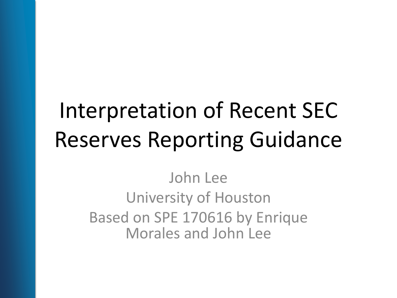# Interpretation of Recent SEC Reserves Reporting Guidance

John Lee University of Houston Based on SPE 170616 by Enrique Morales and John Lee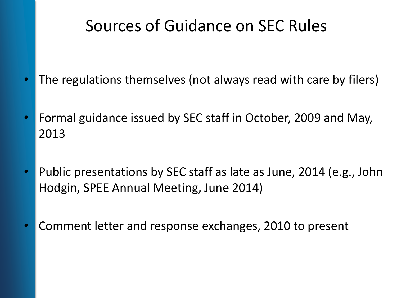### Sources of Guidance on SEC Rules

- The regulations themselves (not always read with care by filers)
- Formal guidance issued by SEC staff in October, 2009 and May, 2013
- Public presentations by SEC staff as late as June, 2014 (e.g., John Hodgin, SPEE Annual Meeting, June 2014)
- Comment letter and response exchanges, 2010 to present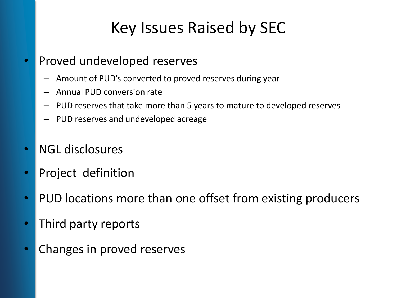# Key Issues Raised by SEC

- Proved undeveloped reserves
	- Amount of PUD's converted to proved reserves during year
	- Annual PUD conversion rate
	- PUD reserves that take more than 5 years to mature to developed reserves
	- PUD reserves and undeveloped acreage
- NGL disclosures
- Project definition
- PUD locations more than one offset from existing producers
- Third party reports
- Changes in proved reserves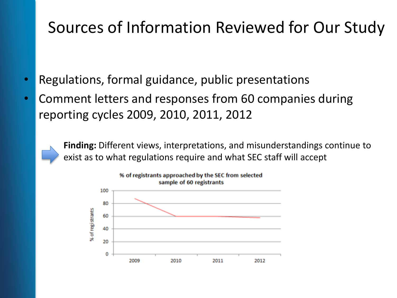### Sources of Information Reviewed for Our Study

- Regulations, formal guidance, public presentations
- Comment letters and responses from 60 companies during reporting cycles 2009, 2010, 2011, 2012

**Finding:** Different views, interpretations, and misunderstandings continue to exist as to what regulations require and what SEC staff will accept

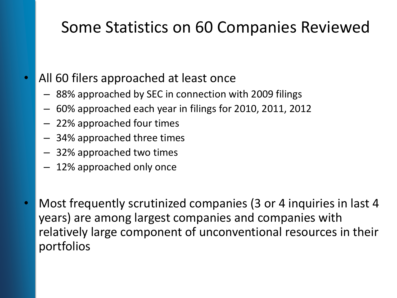# Some Statistics on 60 Companies Reviewed

#### • All 60 filers approached at least once

- 88% approached by SEC in connection with 2009 filings
- 60% approached each year in filings for 2010, 2011, 2012
- 22% approached four times
- 34% approached three times
- 32% approached two times
- 12% approached only once
- Most frequently scrutinized companies (3 or 4 inquiries in last 4 years) are among largest companies and companies with relatively large component of unconventional resources in their portfolios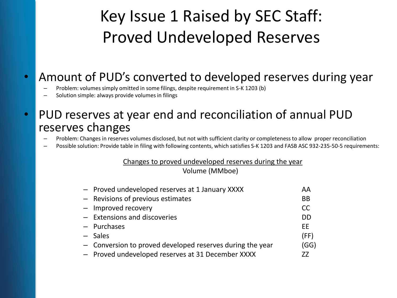# Key Issue 1 Raised by SEC Staff: Proved Undeveloped Reserves

#### • Amount of PUD's converted to developed reserves during year

- Problem: volumes simply omitted in some filings, despite requirement in S-K 1203 (b)
- Solution simple: always provide volumes in filings

#### • PUD reserves at year end and reconciliation of annual PUD reserves changes

- Problem: Changes in reserves volumes disclosed, but not with sufficient clarity or completeness to allow proper reconciliation
- Possible solution: Provide table in filing with following contents, which satisfies S-K 1203 and FASB ASC 932-235-50-5 requirements:

#### Changes to proved undeveloped reserves during the year

Volume (MMboe)

| - Proved undeveloped reserves at 1 January XXXX           | AA        |
|-----------------------------------------------------------|-----------|
| - Revisions of previous estimates                         | <b>BB</b> |
| - Improved recovery                                       | <b>CC</b> |
| - Extensions and discoveries                              | <b>DD</b> |
| - Purchases                                               | EE        |
| $-$ Sales                                                 | (FF)      |
| - Conversion to proved developed reserves during the year | (GG)      |
| - Proved undeveloped reserves at 31 December XXXX         | 77        |
|                                                           |           |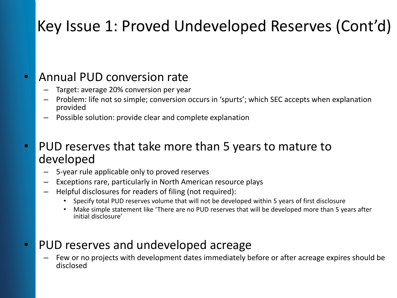# Key Issue 1: Proved Undeveloped Reserves (Cont'd)

#### • Annual PUD conversion rate

- Target: average 20% conversion per year
- Problem: life not so simple; conversion occurs in 'spurts'; which SEC accepts when explanation provided
- Possible solution: provide clear and complete explanation
- PUD reserves that take more than 5 years to mature to developed
	- 5-year rule applicable only to proved reserves
	- Exceptions rare, particularly in North American resource plays
	- Helpful disclosures for readers of filing (not required):
		- Specify total PUD reserves volume that will not be developed within 5 years of first disclosure
		- Make simple statement like 'There are no PUD reserves that will be developed more than 5 years after initial disclosure'

#### • PUD reserves and undeveloped acreage

– Few or no projects with development dates immediately before or after acreage expires should be disclosed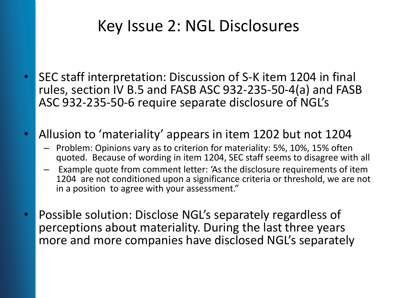### Key Issue 2: NGL Disclosures

- SEC staff interpretation: Discussion of S-K item 1204 in final rules, section IV B.5 and FASB ASC 932-235-50-4(a) and FASB ASC 932-235-50-6 require separate disclosure of NGL's
- Allusion to 'materiality' appears in item 1202 but not 1204
	- Problem: Opinions vary as to criterion for materiality: 5%, 10%, 15% often quoted. Because of wording in item 1204, SEC staff seems to disagree with all
	- Example quote from comment letter: 'As the disclosure requirements of item 1204 are not conditioned upon a significance criteria or threshold, we are not in a position to agree with your assessment."
- Possible solution: Disclose NGL's separately regardless of perceptions about materiality. During the last three years more and more companies have disclosed NGL's separately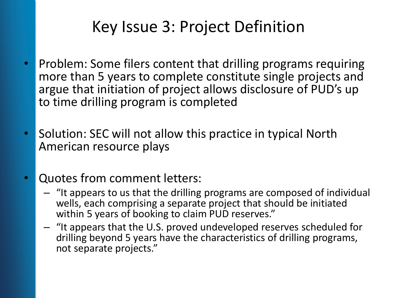# Key Issue 3: Project Definition

- Problem: Some filers content that drilling programs requiring more than 5 years to complete constitute single projects and argue that initiation of project allows disclosure of PUD's up to time drilling program is completed
- Solution: SEC will not allow this practice in typical North American resource plays
- Quotes from comment letters:
	- "It appears to us that the drilling programs are composed of individual wells, each comprising a separate project that should be initiated within 5 years of booking to claim PUD reserves."
	- "It appears that the U.S. proved undeveloped reserves scheduled for drilling beyond 5 years have the characteristics of drilling programs, not separate projects."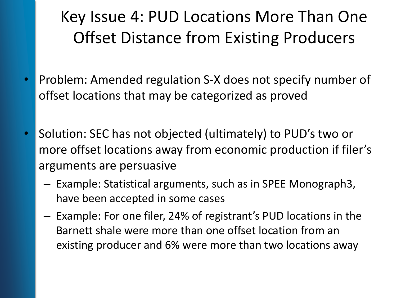# Key Issue 4: PUD Locations More Than One Offset Distance from Existing Producers

- Problem: Amended regulation S-X does not specify number of offset locations that may be categorized as proved
- Solution: SEC has not objected (ultimately) to PUD's two or more offset locations away from economic production if filer's arguments are persuasive
	- Example: Statistical arguments, such as in SPEE Monograph3, have been accepted in some cases
	- Example: For one filer, 24% of registrant's PUD locations in the Barnett shale were more than one offset location from an existing producer and 6% were more than two locations away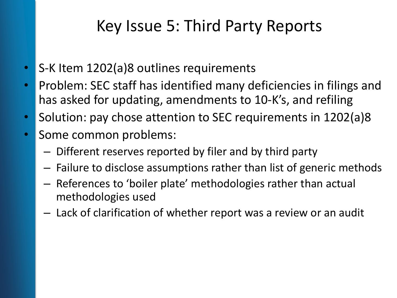### Key Issue 5: Third Party Reports

- S-K Item 1202(a)8 outlines requirements
- Problem: SEC staff has identified many deficiencies in filings and has asked for updating, amendments to 10-K's, and refiling
- Solution: pay chose attention to SEC requirements in 1202(a)8
- Some common problems:
	- Different reserves reported by filer and by third party
	- Failure to disclose assumptions rather than list of generic methods
	- References to 'boiler plate' methodologies rather than actual methodologies used
	- Lack of clarification of whether report was a review or an audit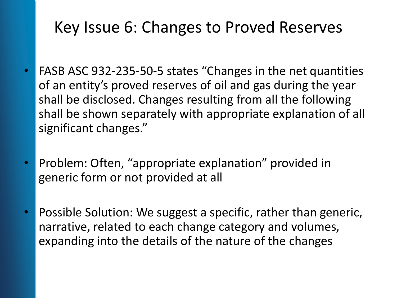### Key Issue 6: Changes to Proved Reserves

- FASB ASC 932-235-50-5 states "Changes in the net quantities of an entity's proved reserves of oil and gas during the year shall be disclosed. Changes resulting from all the following shall be shown separately with appropriate explanation of all significant changes."
- Problem: Often, "appropriate explanation" provided in generic form or not provided at all
- Possible Solution: We suggest a specific, rather than generic, narrative, related to each change category and volumes, expanding into the details of the nature of the changes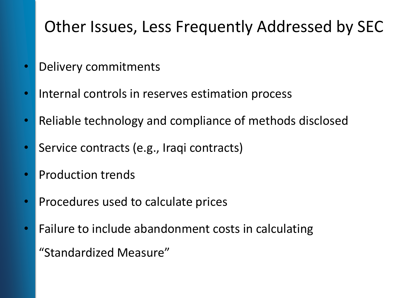# Other Issues, Less Frequently Addressed by SEC

- Delivery commitments
- Internal controls in reserves estimation process
- Reliable technology and compliance of methods disclosed
- Service contracts (e.g., Iraqi contracts)
- Production trends
- Procedures used to calculate prices
- Failure to include abandonment costs in calculating "Standardized Measure"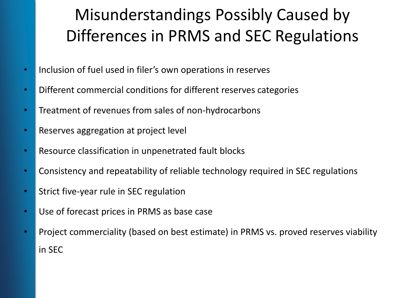# Misunderstandings Possibly Caused by Differences in PRMS and SEC Regulations

- Inclusion of fuel used in filer's own operations in reserves
- Different commercial conditions for different reserves categories
- Treatment of revenues from sales of non-hydrocarbons
- Reserves aggregation at project level
- Resource classification in unpenetrated fault blocks
- Consistency and repeatability of reliable technology required in SEC regulations
- Strict five-year rule in SEC regulation
- Use of forecast prices in PRMS as base case
- Project commerciality (based on best estimate) in PRMS vs. proved reserves viability in SEC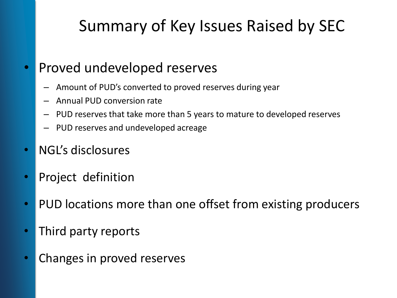# Summary of Key Issues Raised by SEC

#### • Proved undeveloped reserves

- Amount of PUD's converted to proved reserves during year
- Annual PUD conversion rate
- PUD reserves that take more than 5 years to mature to developed reserves
- PUD reserves and undeveloped acreage
- NGL's disclosures
- Project definition
- PUD locations more than one offset from existing producers
- Third party reports
- Changes in proved reserves